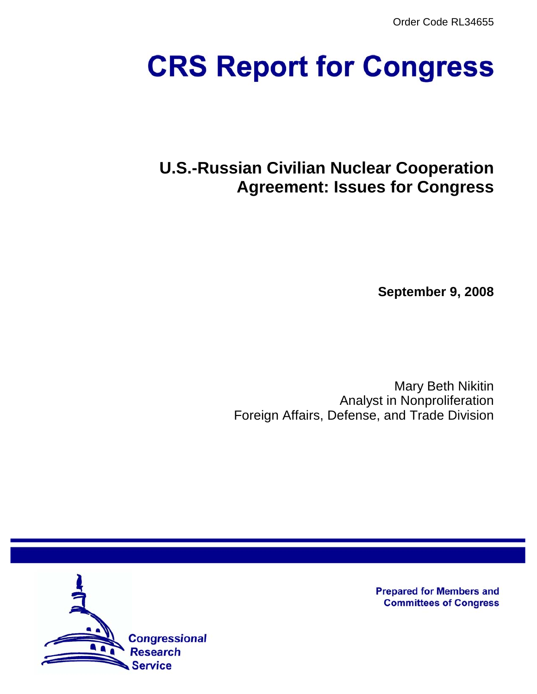Order Code RL34655

# **CRS Report for Congress**

## **U.S.-Russian Civilian Nuclear Cooperation Agreement: Issues for Congress**

**September 9, 2008**

Mary Beth Nikitin Analyst in Nonproliferation Foreign Affairs, Defense, and Trade Division



**Prepared for Members and Committees of Congress**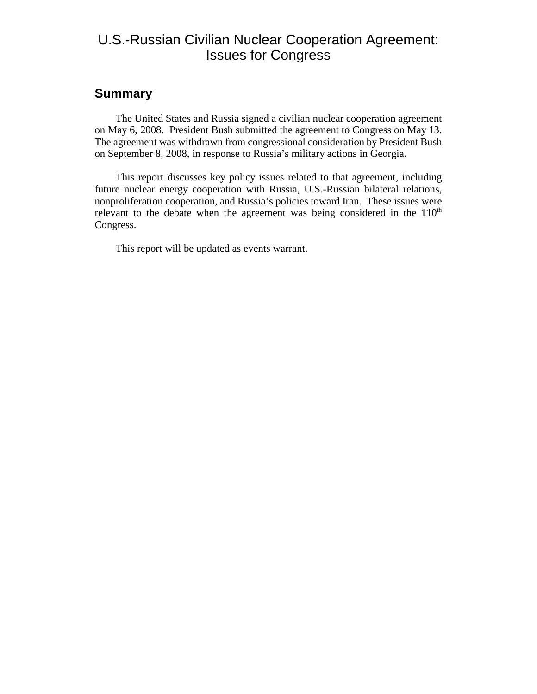#### U.S.-Russian Civilian Nuclear Cooperation Agreement: Issues for Congress

#### **Summary**

The United States and Russia signed a civilian nuclear cooperation agreement on May 6, 2008. President Bush submitted the agreement to Congress on May 13. The agreement was withdrawn from congressional consideration by President Bush on September 8, 2008, in response to Russia's military actions in Georgia.

This report discusses key policy issues related to that agreement, including future nuclear energy cooperation with Russia, U.S.-Russian bilateral relations, nonproliferation cooperation, and Russia's policies toward Iran. These issues were relevant to the debate when the agreement was being considered in the  $110<sup>th</sup>$ Congress.

This report will be updated as events warrant.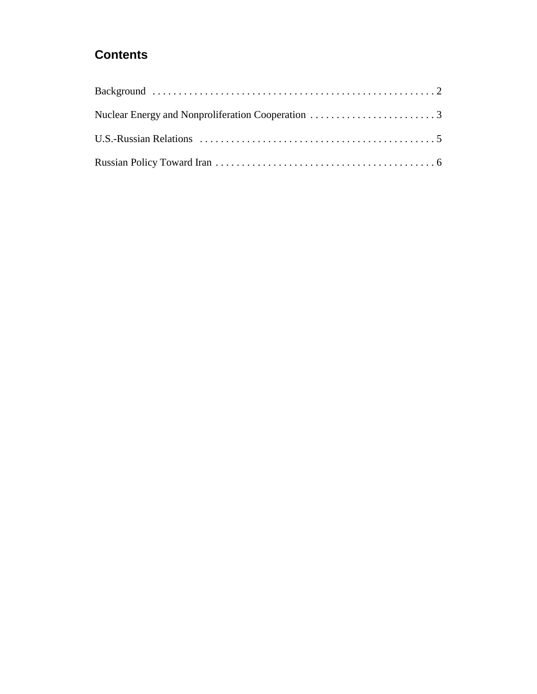### **Contents**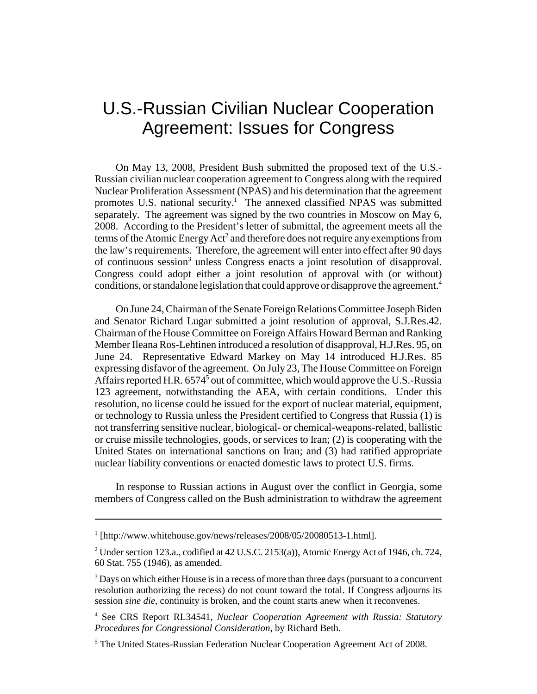## U.S.-Russian Civilian Nuclear Cooperation Agreement: Issues for Congress

On May 13, 2008, President Bush submitted the proposed text of the U.S.- Russian civilian nuclear cooperation agreement to Congress along with the required Nuclear Proliferation Assessment (NPAS) and his determination that the agreement promotes U.S. national security.<sup>1</sup> The annexed classified NPAS was submitted separately. The agreement was signed by the two countries in Moscow on May 6, 2008. According to the President's letter of submittal, the agreement meets all the terms of the Atomic Energy  $Act^2$  and therefore does not require any exemptions from the law's requirements. Therefore, the agreement will enter into effect after 90 days of continuous session<sup>3</sup> unless Congress enacts a joint resolution of disapproval. Congress could adopt either a joint resolution of approval with (or without) conditions, or standalone legislation that could approve or disapprove the agreement.<sup>4</sup>

On June 24, Chairman of the Senate Foreign Relations Committee Joseph Biden and Senator Richard Lugar submitted a joint resolution of approval, S.J.Res.42. Chairman of the House Committee on Foreign Affairs Howard Berman and Ranking Member Ileana Ros-Lehtinen introduced a resolution of disapproval, H.J.Res. 95, on June 24. Representative Edward Markey on May 14 introduced H.J.Res. 85 expressing disfavor of the agreement. On July 23, The House Committee on Foreign Affairs reported H.R. 6574<sup>5</sup> out of committee, which would approve the U.S.-Russia 123 agreement, notwithstanding the AEA, with certain conditions. Under this resolution, no license could be issued for the export of nuclear material, equipment, or technology to Russia unless the President certified to Congress that Russia (1) is not transferring sensitive nuclear, biological- or chemical-weapons-related, ballistic or cruise missile technologies, goods, or services to Iran; (2) is cooperating with the United States on international sanctions on Iran; and (3) had ratified appropriate nuclear liability conventions or enacted domestic laws to protect U.S. firms.

In response to Russian actions in August over the conflict in Georgia, some members of Congress called on the Bush administration to withdraw the agreement

<sup>&</sup>lt;sup>1</sup> [http://www.whitehouse.gov/news/releases/2008/05/20080513-1.html].

<sup>&</sup>lt;sup>2</sup> Under section 123.a., codified at 42 U.S.C. 2153(a)), Atomic Energy Act of 1946, ch. 724, 60 Stat. 755 (1946), as amended.

 $3$  Days on which either House is in a recess of more than three days (pursuant to a concurrent resolution authorizing the recess) do not count toward the total. If Congress adjourns its session *sine die*, continuity is broken, and the count starts anew when it reconvenes.

<sup>4</sup> See CRS Report RL34541, *Nuclear Cooperation Agreement with Russia: Statutory Procedures for Congressional Consideration*, by Richard Beth.

<sup>&</sup>lt;sup>5</sup> The United States-Russian Federation Nuclear Cooperation Agreement Act of 2008.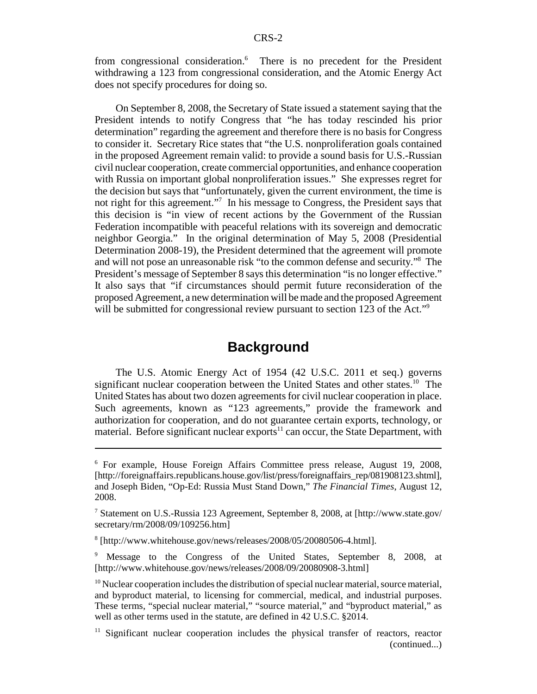from congressional consideration.<sup>6</sup> There is no precedent for the President withdrawing a 123 from congressional consideration, and the Atomic Energy Act does not specify procedures for doing so.

On September 8, 2008, the Secretary of State issued a statement saying that the President intends to notify Congress that "he has today rescinded his prior determination" regarding the agreement and therefore there is no basis for Congress to consider it. Secretary Rice states that "the U.S. nonproliferation goals contained in the proposed Agreement remain valid: to provide a sound basis for U.S.-Russian civil nuclear cooperation, create commercial opportunities, and enhance cooperation with Russia on important global nonproliferation issues." She expresses regret for the decision but says that "unfortunately, given the current environment, the time is not right for this agreement."<sup>7</sup> In his message to Congress, the President says that this decision is "in view of recent actions by the Government of the Russian Federation incompatible with peaceful relations with its sovereign and democratic neighbor Georgia." In the original determination of May 5, 2008 (Presidential Determination 2008-19), the President determined that the agreement will promote and will not pose an unreasonable risk "to the common defense and security."8 The President's message of September 8 says this determination "is no longer effective." It also says that "if circumstances should permit future reconsideration of the proposed Agreement, a new determination will be made and the proposed Agreement will be submitted for congressional review pursuant to section 123 of the Act."<sup>9</sup>

#### **Background**

The U.S. Atomic Energy Act of 1954 (42 U.S.C. 2011 et seq.) governs significant nuclear cooperation between the United States and other states.<sup>10</sup> The United States has about two dozen agreements for civil nuclear cooperation in place. Such agreements, known as "123 agreements," provide the framework and authorization for cooperation, and do not guarantee certain exports, technology, or material. Before significant nuclear exports<sup>11</sup> can occur, the State Department, with

<sup>6</sup> For example, House Foreign Affairs Committee press release, August 19, 2008, [http://foreignaffairs.republicans.house.gov/list/press/foreignaffairs\_rep/081908123.shtml], and Joseph Biden, "Op-Ed: Russia Must Stand Down," *The Financial Times*, August 12, 2008.

<sup>7</sup> Statement on U.S.-Russia 123 Agreement, September 8, 2008, at [http://www.state.gov/ secretary/rm/2008/09/109256.htm]

<sup>8</sup> [http://www.whitehouse.gov/news/releases/2008/05/20080506-4.html].

<sup>&</sup>lt;sup>9</sup> Message to the Congress of the United States, September 8, 2008, at [http://www.whitehouse.gov/news/releases/2008/09/20080908-3.html]

 $10$  Nuclear cooperation includes the distribution of special nuclear material, source material, and byproduct material, to licensing for commercial, medical, and industrial purposes. These terms, "special nuclear material," "source material," and "byproduct material," as well as other terms used in the statute, are defined in 42 U.S.C. §2014.

<sup>&</sup>lt;sup>11</sup> Significant nuclear cooperation includes the physical transfer of reactors, reactor (continued...)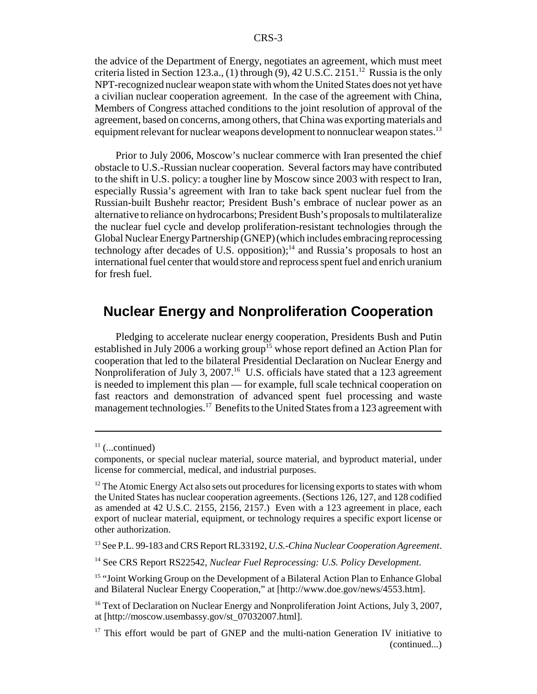the advice of the Department of Energy, negotiates an agreement, which must meet criteria listed in Section 123.a., (1) through  $(9)$ , 42 U.S.C. 2151.<sup>12</sup> Russia is the only NPT-recognized nuclear weapon state with whom the United States does not yet have a civilian nuclear cooperation agreement. In the case of the agreement with China, Members of Congress attached conditions to the joint resolution of approval of the agreement, based on concerns, among others, that China was exporting materials and equipment relevant for nuclear weapons development to nonnuclear weapon states.<sup>13</sup>

Prior to July 2006, Moscow's nuclear commerce with Iran presented the chief obstacle to U.S.-Russian nuclear cooperation. Several factors may have contributed to the shift in U.S. policy: a tougher line by Moscow since 2003 with respect to Iran, especially Russia's agreement with Iran to take back spent nuclear fuel from the Russian-built Bushehr reactor; President Bush's embrace of nuclear power as an alternative to reliance on hydrocarbons; President Bush's proposals to multilateralize the nuclear fuel cycle and develop proliferation-resistant technologies through the Global Nuclear Energy Partnership (GNEP) (which includes embracing reprocessing technology after decades of U.S. opposition);<sup>14</sup> and Russia's proposals to host an international fuel center that would store and reprocess spent fuel and enrich uranium for fresh fuel.

#### **Nuclear Energy and Nonproliferation Cooperation**

Pledging to accelerate nuclear energy cooperation, Presidents Bush and Putin established in July 2006 a working group<sup>15</sup> whose report defined an Action Plan for cooperation that led to the bilateral Presidential Declaration on Nuclear Energy and Nonproliferation of July 3, 2007.<sup>16</sup> U.S. officials have stated that a 123 agreement is needed to implement this plan — for example, full scale technical cooperation on fast reactors and demonstration of advanced spent fuel processing and waste management technologies.<sup>17</sup> Benefits to the United States from a 123 agreement with

 $11$  (...continued)

components, or special nuclear material, source material, and byproduct material, under license for commercial, medical, and industrial purposes.

 $12$  The Atomic Energy Act also sets out procedures for licensing exports to states with whom the United States has nuclear cooperation agreements. (Sections 126, 127, and 128 codified as amended at 42 U.S.C. 2155, 2156, 2157.) Even with a 123 agreement in place, each export of nuclear material, equipment, or technology requires a specific export license or other authorization.

<sup>13</sup> See P.L. 99-183 and CRS Report RL33192, *U.S.-China Nuclear Cooperation Agreement*.

<sup>14</sup> See CRS Report RS22542, *Nuclear Fuel Reprocessing: U.S. Policy Development*.

<sup>&</sup>lt;sup>15</sup> "Joint Working Group on the Development of a Bilateral Action Plan to Enhance Global and Bilateral Nuclear Energy Cooperation," at [http://www.doe.gov/news/4553.htm].

<sup>&</sup>lt;sup>16</sup> Text of Declaration on Nuclear Energy and Nonproliferation Joint Actions, July 3, 2007, at [http://moscow.usembassy.gov/st\_07032007.html].

 $17$  This effort would be part of GNEP and the multi-nation Generation IV initiative to (continued...)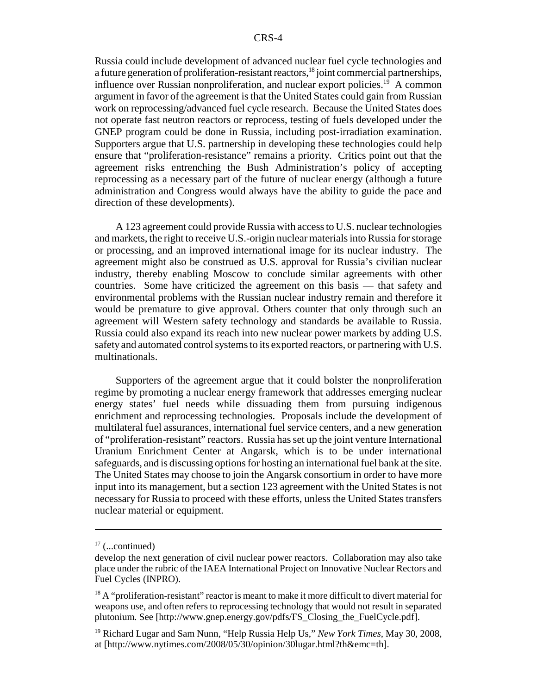Russia could include development of advanced nuclear fuel cycle technologies and a future generation of proliferation-resistant reactors,<sup>18</sup> joint commercial partnerships, influence over Russian nonproliferation, and nuclear export policies.<sup>19</sup> A common argument in favor of the agreement is that the United States could gain from Russian work on reprocessing/advanced fuel cycle research. Because the United States does not operate fast neutron reactors or reprocess, testing of fuels developed under the GNEP program could be done in Russia, including post-irradiation examination. Supporters argue that U.S. partnership in developing these technologies could help ensure that "proliferation-resistance" remains a priority. Critics point out that the agreement risks entrenching the Bush Administration's policy of accepting reprocessing as a necessary part of the future of nuclear energy (although a future administration and Congress would always have the ability to guide the pace and direction of these developments).

A 123 agreement could provide Russia with access to U.S. nuclear technologies and markets, the right to receive U.S.-origin nuclear materials into Russia for storage or processing, and an improved international image for its nuclear industry. The agreement might also be construed as U.S. approval for Russia's civilian nuclear industry, thereby enabling Moscow to conclude similar agreements with other countries. Some have criticized the agreement on this basis — that safety and environmental problems with the Russian nuclear industry remain and therefore it would be premature to give approval. Others counter that only through such an agreement will Western safety technology and standards be available to Russia. Russia could also expand its reach into new nuclear power markets by adding U.S. safety and automated control systems to its exported reactors, or partnering with U.S. multinationals.

Supporters of the agreement argue that it could bolster the nonproliferation regime by promoting a nuclear energy framework that addresses emerging nuclear energy states' fuel needs while dissuading them from pursuing indigenous enrichment and reprocessing technologies. Proposals include the development of multilateral fuel assurances, international fuel service centers, and a new generation of "proliferation-resistant" reactors. Russia has set up the joint venture International Uranium Enrichment Center at Angarsk, which is to be under international safeguards, and is discussing options for hosting an international fuel bank at the site. The United States may choose to join the Angarsk consortium in order to have more input into its management, but a section 123 agreement with the United States is not necessary for Russia to proceed with these efforts, unless the United States transfers nuclear material or equipment.

 $17$  (...continued)

develop the next generation of civil nuclear power reactors. Collaboration may also take place under the rubric of the IAEA International Project on Innovative Nuclear Rectors and Fuel Cycles (INPRO).

 $18$  A "proliferation-resistant" reactor is meant to make it more difficult to divert material for weapons use, and often refers to reprocessing technology that would not result in separated plutonium. See [http://www.gnep.energy.gov/pdfs/FS\_Closing\_the\_FuelCycle.pdf].

<sup>19</sup> Richard Lugar and Sam Nunn, "Help Russia Help Us," *New York Times*, May 30, 2008, at [http://www.nytimes.com/2008/05/30/opinion/30lugar.html?th&emc=th].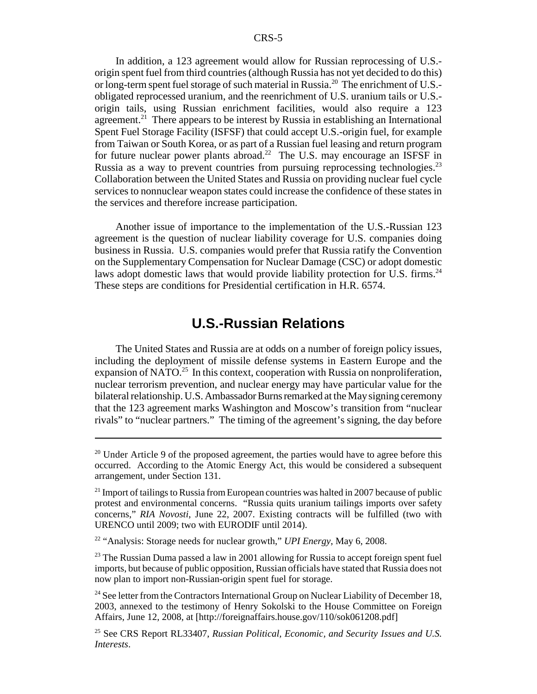In addition, a 123 agreement would allow for Russian reprocessing of U.S. origin spent fuel from third countries (although Russia has not yet decided to do this) or long-term spent fuel storage of such material in Russia.<sup>20</sup> The enrichment of U.S.obligated reprocessed uranium, and the reenrichment of U.S. uranium tails or U.S. origin tails, using Russian enrichment facilities, would also require a 123 agreement.<sup>21</sup> There appears to be interest by Russia in establishing an International Spent Fuel Storage Facility (ISFSF) that could accept U.S.-origin fuel, for example from Taiwan or South Korea, or as part of a Russian fuel leasing and return program for future nuclear power plants abroad.<sup>22</sup> The U.S. may encourage an ISFSF in Russia as a way to prevent countries from pursuing reprocessing technologies.<sup>23</sup> Collaboration between the United States and Russia on providing nuclear fuel cycle services to nonnuclear weapon states could increase the confidence of these states in the services and therefore increase participation.

Another issue of importance to the implementation of the U.S.-Russian 123 agreement is the question of nuclear liability coverage for U.S. companies doing business in Russia. U.S. companies would prefer that Russia ratify the Convention on the Supplementary Compensation for Nuclear Damage (CSC) or adopt domestic laws adopt domestic laws that would provide liability protection for U.S. firms.<sup>24</sup> These steps are conditions for Presidential certification in H.R. 6574.

#### **U.S.-Russian Relations**

The United States and Russia are at odds on a number of foreign policy issues, including the deployment of missile defense systems in Eastern Europe and the expansion of NATO.<sup>25</sup> In this context, cooperation with Russia on nonproliferation, nuclear terrorism prevention, and nuclear energy may have particular value for the bilateral relationship. U.S. Ambassador Burns remarked at the May signing ceremony that the 123 agreement marks Washington and Moscow's transition from "nuclear rivals" to "nuclear partners." The timing of the agreement's signing, the day before

 $20$  Under Article 9 of the proposed agreement, the parties would have to agree before this occurred. According to the Atomic Energy Act, this would be considered a subsequent arrangement, under Section 131.

 $21$  Import of tailings to Russia from European countries was halted in 2007 because of public protest and environmental concerns. "Russia quits uranium tailings imports over safety concerns," *RIA Novosti*, June 22, 2007. Existing contracts will be fulfilled (two with URENCO until 2009; two with EURODIF until 2014).

<sup>22 &</sup>quot;Analysis: Storage needs for nuclear growth," *UPI Energy*, May 6, 2008.

 $^{23}$  The Russian Duma passed a law in 2001 allowing for Russia to accept foreign spent fuel imports, but because of public opposition, Russian officials have stated that Russia does not now plan to import non-Russian-origin spent fuel for storage.

 $24$  See letter from the Contractors International Group on Nuclear Liability of December 18, 2003, annexed to the testimony of Henry Sokolski to the House Committee on Foreign Affairs, June 12, 2008, at [http://foreignaffairs.house.gov/110/sok061208.pdf]

<sup>25</sup> See CRS Report RL33407, *Russian Political, Economic, and Security Issues and U.S. Interests*.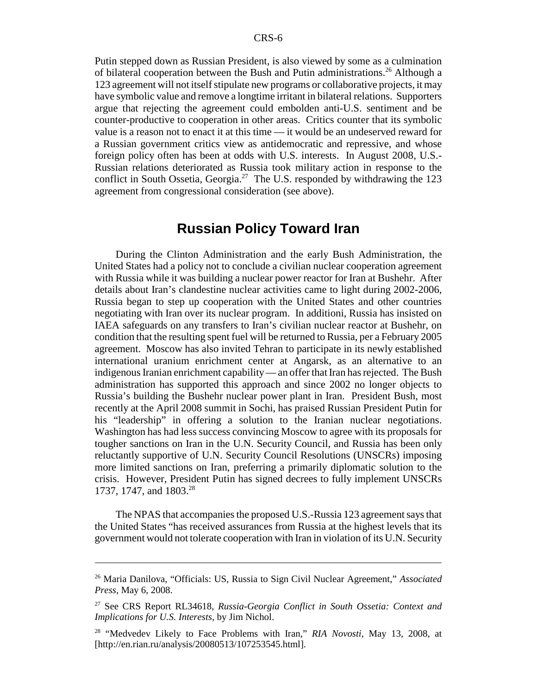Putin stepped down as Russian President, is also viewed by some as a culmination of bilateral cooperation between the Bush and Putin administrations.<sup>26</sup> Although a 123 agreement will not itself stipulate new programs or collaborative projects, it may have symbolic value and remove a longtime irritant in bilateral relations. Supporters argue that rejecting the agreement could embolden anti-U.S. sentiment and be counter-productive to cooperation in other areas. Critics counter that its symbolic value is a reason not to enact it at this time — it would be an undeserved reward for a Russian government critics view as antidemocratic and repressive, and whose foreign policy often has been at odds with U.S. interests. In August 2008, U.S.- Russian relations deteriorated as Russia took military action in response to the conflict in South Ossetia, Georgia.<sup>27</sup> The U.S. responded by withdrawing the 123 agreement from congressional consideration (see above).

#### **Russian Policy Toward Iran**

During the Clinton Administration and the early Bush Administration, the United States had a policy not to conclude a civilian nuclear cooperation agreement with Russia while it was building a nuclear power reactor for Iran at Bushehr. After details about Iran's clandestine nuclear activities came to light during 2002-2006, Russia began to step up cooperation with the United States and other countries negotiating with Iran over its nuclear program. In additioni, Russia has insisted on IAEA safeguards on any transfers to Iran's civilian nuclear reactor at Bushehr, on condition that the resulting spent fuel will be returned to Russia, per a February 2005 agreement. Moscow has also invited Tehran to participate in its newly established international uranium enrichment center at Angarsk, as an alternative to an indigenous Iranian enrichment capability — an offer that Iran has rejected. The Bush administration has supported this approach and since 2002 no longer objects to Russia's building the Bushehr nuclear power plant in Iran. President Bush, most recently at the April 2008 summit in Sochi, has praised Russian President Putin for his "leadership" in offering a solution to the Iranian nuclear negotiations. Washington has had less success convincing Moscow to agree with its proposals for tougher sanctions on Iran in the U.N. Security Council, and Russia has been only reluctantly supportive of U.N. Security Council Resolutions (UNSCRs) imposing more limited sanctions on Iran, preferring a primarily diplomatic solution to the crisis. However, President Putin has signed decrees to fully implement UNSCRs 1737, 1747, and 1803.<sup>28</sup>

The NPAS that accompanies the proposed U.S.-Russia 123 agreement says that the United States "has received assurances from Russia at the highest levels that its government would not tolerate cooperation with Iran in violation of its U.N. Security

<sup>26</sup> Maria Danilova, "Officials: US, Russia to Sign Civil Nuclear Agreement," *Associated Press*, May 6, 2008.

<sup>27</sup> See CRS Report RL34618, *Russia-Georgia Conflict in South Ossetia: Context and Implications for U.S. Interests*, by Jim Nichol.

<sup>28 &</sup>quot;Medvedev Likely to Face Problems with Iran," *RIA Novosti*, May 13, 2008, at [http://en.rian.ru/analysis/20080513/107253545.html].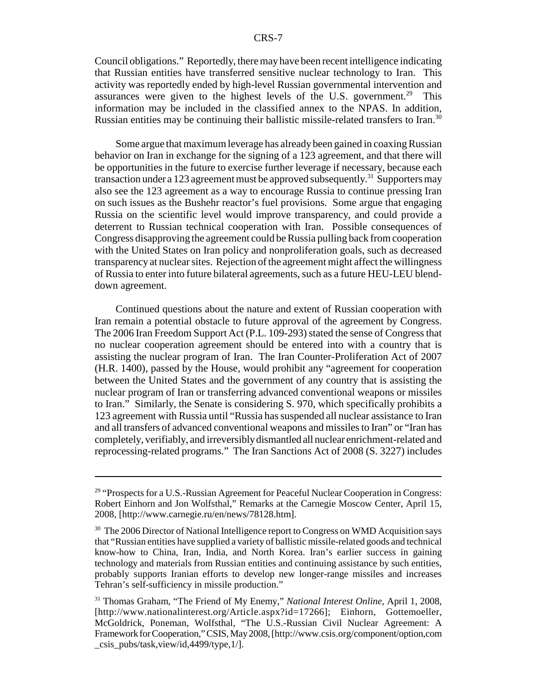Council obligations." Reportedly, there may have been recent intelligence indicating that Russian entities have transferred sensitive nuclear technology to Iran. This activity was reportedly ended by high-level Russian governmental intervention and assurances were given to the highest levels of the U.S. government.<sup>29</sup> This information may be included in the classified annex to the NPAS. In addition, Russian entities may be continuing their ballistic missile-related transfers to Iran.<sup>30</sup>

Some argue that maximum leverage has already been gained in coaxing Russian behavior on Iran in exchange for the signing of a 123 agreement, and that there will be opportunities in the future to exercise further leverage if necessary, because each transaction under a 123 agreement must be approved subsequently.<sup>31</sup> Supporters may also see the 123 agreement as a way to encourage Russia to continue pressing Iran on such issues as the Bushehr reactor's fuel provisions. Some argue that engaging Russia on the scientific level would improve transparency, and could provide a deterrent to Russian technical cooperation with Iran. Possible consequences of Congress disapproving the agreement could be Russia pulling back from cooperation with the United States on Iran policy and nonproliferation goals, such as decreased transparency at nuclear sites. Rejection of the agreement might affect the willingness of Russia to enter into future bilateral agreements, such as a future HEU-LEU blenddown agreement.

Continued questions about the nature and extent of Russian cooperation with Iran remain a potential obstacle to future approval of the agreement by Congress. The 2006 Iran Freedom Support Act (P.L. 109-293) stated the sense of Congress that no nuclear cooperation agreement should be entered into with a country that is assisting the nuclear program of Iran. The Iran Counter-Proliferation Act of 2007 (H.R. 1400), passed by the House, would prohibit any "agreement for cooperation between the United States and the government of any country that is assisting the nuclear program of Iran or transferring advanced conventional weapons or missiles to Iran." Similarly, the Senate is considering S. 970, which specifically prohibits a 123 agreement with Russia until "Russia has suspended all nuclear assistance to Iran and all transfers of advanced conventional weapons and missiles to Iran" or "Iran has completely, verifiably, and irreversibly dismantled all nuclear enrichment-related and reprocessing-related programs." The Iran Sanctions Act of 2008 (S. 3227) includes

<sup>&</sup>lt;sup>29</sup> "Prospects for a U.S.-Russian Agreement for Peaceful Nuclear Cooperation in Congress: Robert Einhorn and Jon Wolfsthal," Remarks at the Carnegie Moscow Center, April 15, 2008, [http://www.carnegie.ru/en/news/78128.htm].

<sup>&</sup>lt;sup>30</sup> The 2006 Director of National Intelligence report to Congress on WMD Acquisition says that "Russian entities have supplied a variety of ballistic missile-related goods and technical know-how to China, Iran, India, and North Korea. Iran's earlier success in gaining technology and materials from Russian entities and continuing assistance by such entities, probably supports Iranian efforts to develop new longer-range missiles and increases Tehran's self-sufficiency in missile production."

<sup>31</sup> Thomas Graham, "The Friend of My Enemy," *National Interest Online*, April 1, 2008, [http://www.nationalinterest.org/Article.aspx?id=17266]; Einhorn, Gottemoeller, McGoldrick, Poneman, Wolfsthal, "The U.S.-Russian Civil Nuclear Agreement: A Framework for Cooperation," CSIS, May 2008, [http://www.csis.org/component/option,com \_csis\_pubs/task,view/id,4499/type,1/].